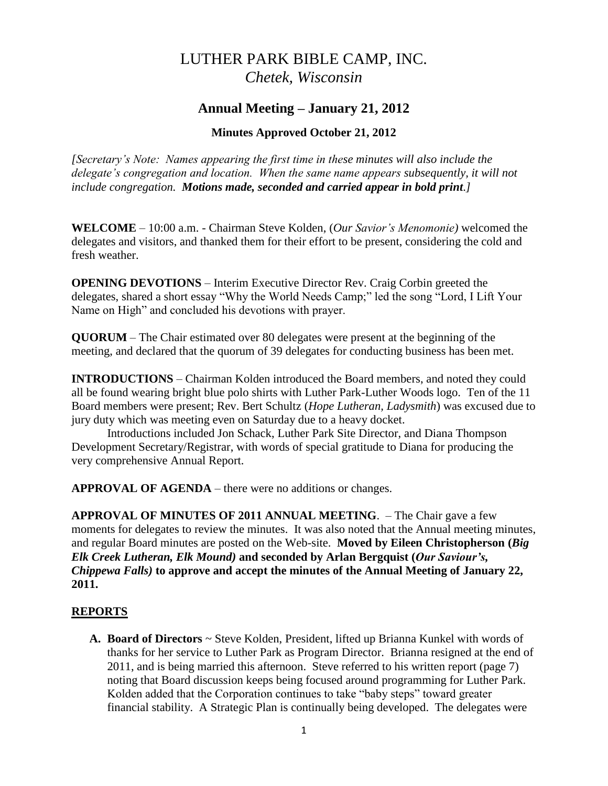# LUTHER PARK BIBLE CAMP, INC. *Chetek, Wisconsin*

## **Annual Meeting – January 21, 2012**

#### **Minutes Approved October 21, 2012**

*[Secretary's Note: Names appearing the first time in these minutes will also include the delegate's congregation and location. When the same name appears subsequently, it will not include congregation. Motions made, seconded and carried appear in bold print.]*

**WELCOME** – 10:00 a.m. - Chairman Steve Kolden, (*Our Savior's Menomonie)* welcomed the delegates and visitors, and thanked them for their effort to be present, considering the cold and fresh weather.

**OPENING DEVOTIONS** – Interim Executive Director Rev. Craig Corbin greeted the delegates, shared a short essay "Why the World Needs Camp;" led the song "Lord, I Lift Your Name on High" and concluded his devotions with prayer.

**QUORUM** – The Chair estimated over 80 delegates were present at the beginning of the meeting, and declared that the quorum of 39 delegates for conducting business has been met.

**INTRODUCTIONS** – Chairman Kolden introduced the Board members, and noted they could all be found wearing bright blue polo shirts with Luther Park-Luther Woods logo. Ten of the 11 Board members were present; Rev. Bert Schultz (*Hope Lutheran, Ladysmith*) was excused due to jury duty which was meeting even on Saturday due to a heavy docket.

Introductions included Jon Schack, Luther Park Site Director, and Diana Thompson Development Secretary/Registrar, with words of special gratitude to Diana for producing the very comprehensive Annual Report.

**APPROVAL OF AGENDA** – there were no additions or changes.

**APPROVAL OF MINUTES OF 2011 ANNUAL MEETING**. – The Chair gave a few moments for delegates to review the minutes. It was also noted that the Annual meeting minutes, and regular Board minutes are posted on the Web-site. **Moved by Eileen Christopherson (***Big Elk Creek Lutheran, Elk Mound)* **and seconded by Arlan Bergquist (***Our Saviour's, Chippewa Falls)* **to approve and accept the minutes of the Annual Meeting of January 22, 2011.**

#### **REPORTS**

**A. Board of Directors** ~ Steve Kolden, President, lifted up Brianna Kunkel with words of thanks for her service to Luther Park as Program Director. Brianna resigned at the end of 2011, and is being married this afternoon. Steve referred to his written report (page 7) noting that Board discussion keeps being focused around programming for Luther Park. Kolden added that the Corporation continues to take "baby steps" toward greater financial stability. A Strategic Plan is continually being developed. The delegates were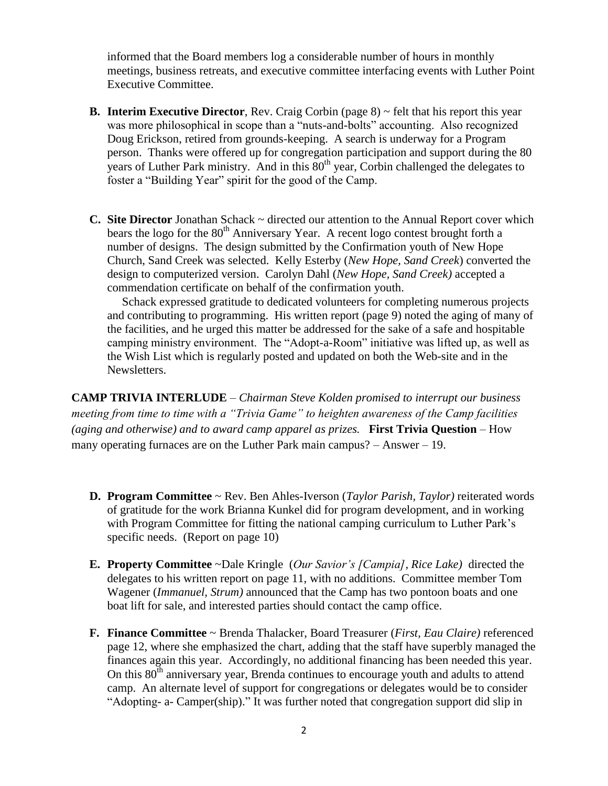informed that the Board members log a considerable number of hours in monthly meetings, business retreats, and executive committee interfacing events with Luther Point Executive Committee.

- **B. Interim Executive Director**, Rev. Craig Corbin (page 8) ~ felt that his report this year was more philosophical in scope than a "nuts-and-bolts" accounting. Also recognized Doug Erickson, retired from grounds-keeping. A search is underway for a Program person. Thanks were offered up for congregation participation and support during the 80 years of Luther Park ministry. And in this  $\overline{80}^{th}$  year, Corbin challenged the delegates to foster a "Building Year" spirit for the good of the Camp.
- **C. Site Director** Jonathan Schack ~ directed our attention to the Annual Report cover which bears the logo for the  $80<sup>th</sup>$  Anniversary Year. A recent logo contest brought forth a number of designs. The design submitted by the Confirmation youth of New Hope Church, Sand Creek was selected. Kelly Esterby (*New Hope, Sand Creek*) converted the design to computerized version. Carolyn Dahl (*New Hope, Sand Creek)* accepted a commendation certificate on behalf of the confirmation youth.

 Schack expressed gratitude to dedicated volunteers for completing numerous projects and contributing to programming. His written report (page 9) noted the aging of many of the facilities, and he urged this matter be addressed for the sake of a safe and hospitable camping ministry environment. The "Adopt-a-Room" initiative was lifted up, as well as the Wish List which is regularly posted and updated on both the Web-site and in the Newsletters.

**CAMP TRIVIA INTERLUDE** – *Chairman Steve Kolden promised to interrupt our business meeting from time to time with a "Trivia Game" to heighten awareness of the Camp facilities (aging and otherwise) and to award camp apparel as prizes.* **First Trivia Question** – How many operating furnaces are on the Luther Park main campus? – Answer – 19.

- **D. Program Committee** ~ Rev. Ben Ahles-Iverson (*Taylor Parish, Taylor)* reiterated words of gratitude for the work Brianna Kunkel did for program development, and in working with Program Committee for fitting the national camping curriculum to Luther Park's specific needs. (Report on page 10)
- **E. Property Committee** ~Dale Kringle (*Our Savior's [Campia], Rice Lake)* directed the delegates to his written report on page 11, with no additions. Committee member Tom Wagener (*Immanuel, Strum)* announced that the Camp has two pontoon boats and one boat lift for sale, and interested parties should contact the camp office.
- **F. Finance Committee** ~ Brenda Thalacker, Board Treasurer (*First, Eau Claire)* referenced page 12, where she emphasized the chart, adding that the staff have superbly managed the finances again this year. Accordingly, no additional financing has been needed this year. On this  $80<sup>th</sup>$  anniversary year, Brenda continues to encourage youth and adults to attend camp. An alternate level of support for congregations or delegates would be to consider "Adopting- a- Camper(ship)." It was further noted that congregation support did slip in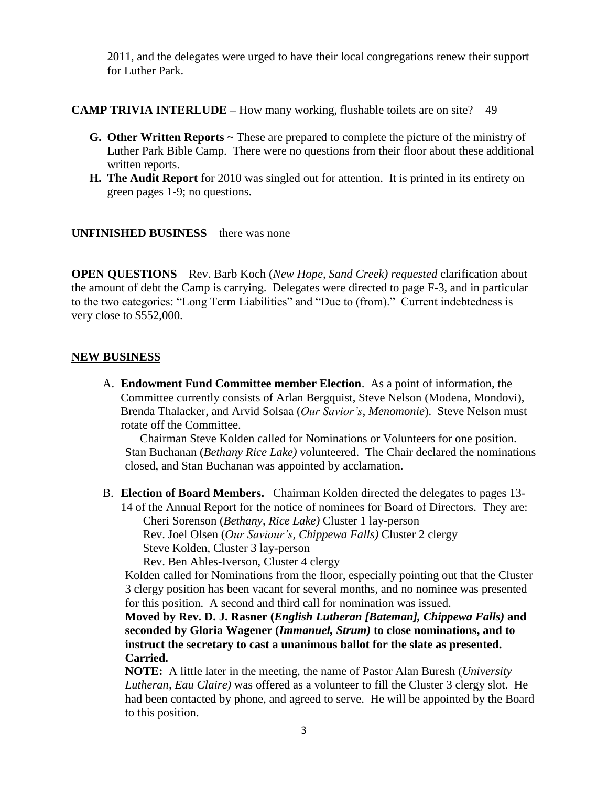2011, and the delegates were urged to have their local congregations renew their support for Luther Park.

#### **CAMP TRIVIA INTERLUDE –** How many working, flushable toilets are on site? – 49

- **G. Other Written Reports** ~ These are prepared to complete the picture of the ministry of Luther Park Bible Camp. There were no questions from their floor about these additional written reports.
- **H. The Audit Report** for 2010 was singled out for attention. It is printed in its entirety on green pages 1-9; no questions.

#### **UNFINISHED BUSINESS** – there was none

**OPEN QUESTIONS** – Rev. Barb Koch (*New Hope, Sand Creek) requested* clarification about the amount of debt the Camp is carrying. Delegates were directed to page F-3, and in particular to the two categories: "Long Term Liabilities" and "Due to (from)." Current indebtedness is very close to \$552,000.

#### **NEW BUSINESS**

A. **Endowment Fund Committee member Election**. As a point of information, the Committee currently consists of Arlan Bergquist, Steve Nelson (Modena, Mondovi), Brenda Thalacker, and Arvid Solsaa (*Our Savior's, Menomonie*). Steve Nelson must rotate off the Committee.

 Chairman Steve Kolden called for Nominations or Volunteers for one position. Stan Buchanan (*Bethany Rice Lake)* volunteered. The Chair declared the nominations closed, and Stan Buchanan was appointed by acclamation.

B. **Election of Board Members.** Chairman Kolden directed the delegates to pages 13-

14 of the Annual Report for the notice of nominees for Board of Directors. They are: Cheri Sorenson (*Bethany, Rice Lake)* Cluster 1 lay-person Rev. Joel Olsen (*Our Saviour's, Chippewa Falls)* Cluster 2 clergy

Steve Kolden, Cluster 3 lay-person

Rev. Ben Ahles-Iverson, Cluster 4 clergy

Kolden called for Nominations from the floor, especially pointing out that the Cluster 3 clergy position has been vacant for several months, and no nominee was presented for this position. A second and third call for nomination was issued.

**Moved by Rev. D. J. Rasner (***English Lutheran [Bateman], Chippewa Falls)* **and seconded by Gloria Wagener (***Immanuel, Strum)* **to close nominations, and to instruct the secretary to cast a unanimous ballot for the slate as presented. Carried.**

**NOTE:** A little later in the meeting, the name of Pastor Alan Buresh (*University Lutheran, Eau Claire)* was offered as a volunteer to fill the Cluster 3 clergy slot. He had been contacted by phone, and agreed to serve. He will be appointed by the Board to this position.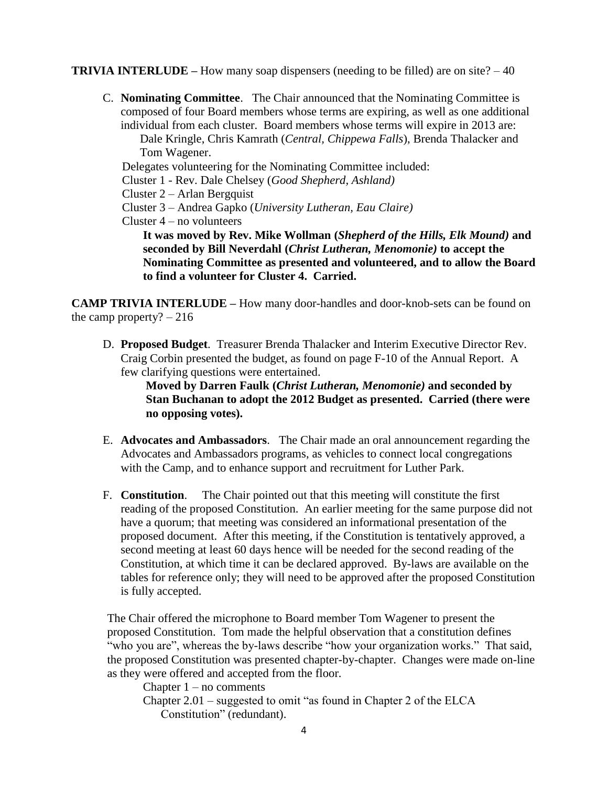#### **TRIVIA INTERLUDE** – How many soap dispensers (needing to be filled) are on site?  $-40$

C. **Nominating Committee**. The Chair announced that the Nominating Committee is composed of four Board members whose terms are expiring, as well as one additional individual from each cluster. Board members whose terms will expire in 2013 are: Dale Kringle, Chris Kamrath (*Central, Chippewa Falls*), Brenda Thalacker and Tom Wagener.

Delegates volunteering for the Nominating Committee included:

Cluster 1 - Rev. Dale Chelsey (*Good Shepherd, Ashland)*

Cluster 2 – Arlan Bergquist

Cluster 3 – Andrea Gapko (*University Lutheran, Eau Claire)*

Cluster 4 – no volunteers

**It was moved by Rev. Mike Wollman (***Shepherd of the Hills, Elk Mound)* **and seconded by Bill Neverdahl (***Christ Lutheran, Menomonie)* **to accept the Nominating Committee as presented and volunteered, and to allow the Board to find a volunteer for Cluster 4. Carried.**

**CAMP TRIVIA INTERLUDE –** How many door-handles and door-knob-sets can be found on the camp property?  $-216$ 

D. **Proposed Budget**. Treasurer Brenda Thalacker and Interim Executive Director Rev. Craig Corbin presented the budget, as found on page F-10 of the Annual Report. A few clarifying questions were entertained.

> **Moved by Darren Faulk (***Christ Lutheran, Menomonie)* **and seconded by Stan Buchanan to adopt the 2012 Budget as presented. Carried (there were no opposing votes).**

- E. **Advocates and Ambassadors**. The Chair made an oral announcement regarding the Advocates and Ambassadors programs, as vehicles to connect local congregations with the Camp, and to enhance support and recruitment for Luther Park.
- F. **Constitution**. The Chair pointed out that this meeting will constitute the first reading of the proposed Constitution. An earlier meeting for the same purpose did not have a quorum; that meeting was considered an informational presentation of the proposed document. After this meeting, if the Constitution is tentatively approved, a second meeting at least 60 days hence will be needed for the second reading of the Constitution, at which time it can be declared approved. By-laws are available on the tables for reference only; they will need to be approved after the proposed Constitution is fully accepted.

The Chair offered the microphone to Board member Tom Wagener to present the proposed Constitution. Tom made the helpful observation that a constitution defines "who you are", whereas the by-laws describe "how your organization works." That said, the proposed Constitution was presented chapter-by-chapter. Changes were made on-line as they were offered and accepted from the floor.

Chapter  $1 - no$  comments Chapter 2.01 – suggested to omit "as found in Chapter 2 of the ELCA

Constitution" (redundant).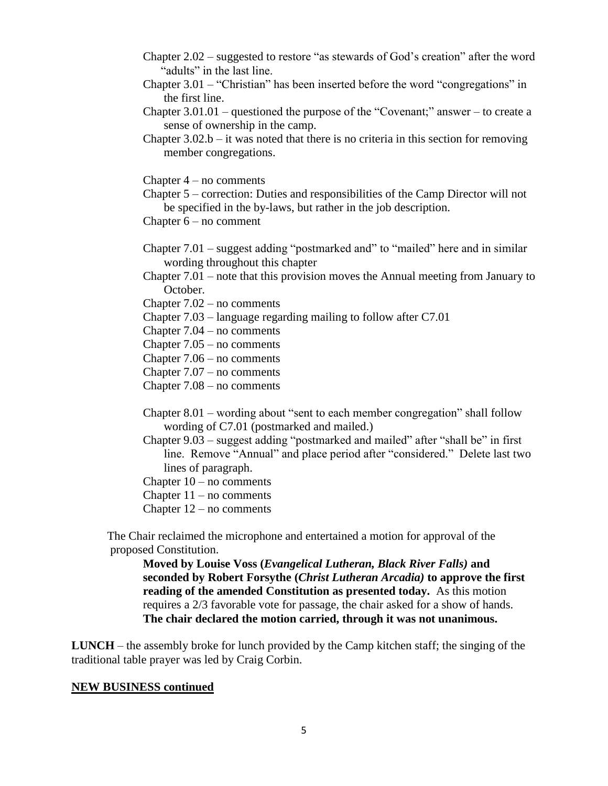- Chapter 2.02 suggested to restore "as stewards of God's creation" after the word "adults" in the last line.
- Chapter 3.01 "Christian" has been inserted before the word "congregations" in the first line.
- Chapter  $3.01.01$  questioned the purpose of the "Covenant;" answer to create a sense of ownership in the camp.
- Chapter  $3.02.b it$  was noted that there is no criteria in this section for removing member congregations.

Chapter  $4 - no$  comments

Chapter 5 – correction: Duties and responsibilities of the Camp Director will not be specified in the by-laws, but rather in the job description.

Chapter 6 – no comment

- Chapter 7.01 suggest adding "postmarked and" to "mailed" here and in similar wording throughout this chapter
- Chapter 7.01 note that this provision moves the Annual meeting from January to October.

Chapter 7.02 – no comments

- Chapter 7.03 language regarding mailing to follow after C7.01
- Chapter 7.04 no comments
- Chapter 7.05 no comments
- Chapter 7.06 no comments
- Chapter 7.07 no comments
- Chapter 7.08 no comments
- Chapter 8.01 wording about "sent to each member congregation" shall follow wording of C7.01 (postmarked and mailed.)
- Chapter 9.03 suggest adding "postmarked and mailed" after "shall be" in first line. Remove "Annual" and place period after "considered." Delete last two lines of paragraph.
- Chapter  $10 no$  comments
- Chapter  $11 no$  comments
- Chapter 12 no comments

The Chair reclaimed the microphone and entertained a motion for approval of the proposed Constitution.

**Moved by Louise Voss (***Evangelical Lutheran, Black River Falls)* **and seconded by Robert Forsythe (***Christ Lutheran Arcadia)* **to approve the first reading of the amended Constitution as presented today.** As this motion requires a 2/3 favorable vote for passage, the chair asked for a show of hands. **The chair declared the motion carried, through it was not unanimous.** 

**LUNCH** – the assembly broke for lunch provided by the Camp kitchen staff; the singing of the traditional table prayer was led by Craig Corbin.

#### **NEW BUSINESS continued**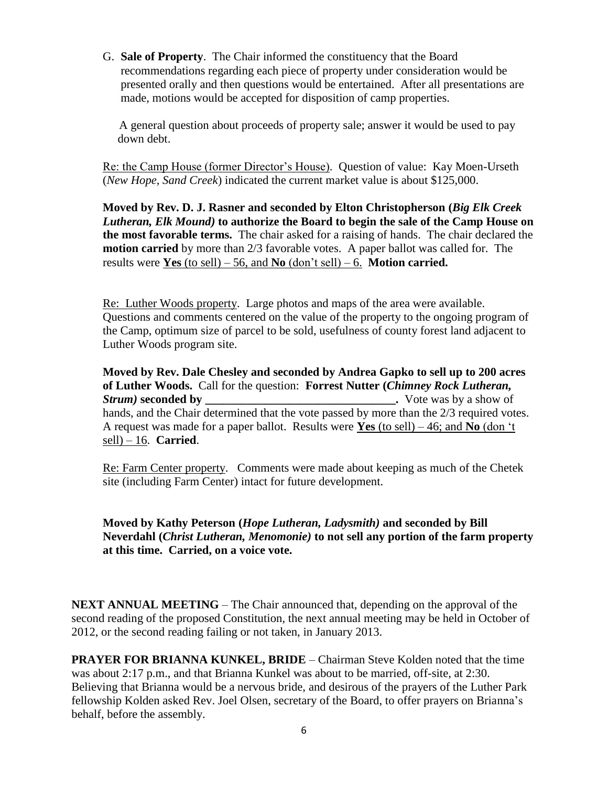G. **Sale of Property**. The Chair informed the constituency that the Board recommendations regarding each piece of property under consideration would be presented orally and then questions would be entertained. After all presentations are made, motions would be accepted for disposition of camp properties.

 A general question about proceeds of property sale; answer it would be used to pay down debt.

Re: the Camp House (former Director's House). Question of value: Kay Moen-Urseth (*New Hope, Sand Creek*) indicated the current market value is about \$125,000.

**Moved by Rev. D. J. Rasner and seconded by Elton Christopherson (***Big Elk Creek Lutheran, Elk Mound)* **to authorize the Board to begin the sale of the Camp House on the most favorable terms.** The chair asked for a raising of hands. The chair declared the **motion carried** by more than 2/3 favorable votes. A paper ballot was called for. The results were **Yes** (to sell) – 56, and **No** (don't sell) – 6. **Motion carried.**

Re: Luther Woods property. Large photos and maps of the area were available. Questions and comments centered on the value of the property to the ongoing program of the Camp, optimum size of parcel to be sold, usefulness of county forest land adjacent to Luther Woods program site.

**Moved by Rev. Dale Chesley and seconded by Andrea Gapko to sell up to 200 acres of Luther Woods.** Call for the question: **Forrest Nutter (***Chimney Rock Lutheran, Strum)* **seconded by \_\_\_\_\_\_\_\_\_\_\_\_\_\_\_\_\_\_\_\_\_\_\_\_\_\_\_\_\_\_\_\_.** Vote was by a show of hands, and the Chair determined that the vote passed by more than the 2/3 required votes. A request was made for a paper ballot. Results were **Yes** (to sell) – 46; and **No** (don 't sell) – 16. **Carried**.

Re: Farm Center property. Comments were made about keeping as much of the Chetek site (including Farm Center) intact for future development.

**Moved by Kathy Peterson (***Hope Lutheran, Ladysmith)* **and seconded by Bill Neverdahl (***Christ Lutheran, Menomonie)* **to not sell any portion of the farm property at this time. Carried, on a voice vote.**

**NEXT ANNUAL MEETING** – The Chair announced that, depending on the approval of the second reading of the proposed Constitution, the next annual meeting may be held in October of 2012, or the second reading failing or not taken, in January 2013.

**PRAYER FOR BRIANNA KUNKEL, BRIDE** – Chairman Steve Kolden noted that the time was about 2:17 p.m., and that Brianna Kunkel was about to be married, off-site, at 2:30. Believing that Brianna would be a nervous bride, and desirous of the prayers of the Luther Park fellowship Kolden asked Rev. Joel Olsen, secretary of the Board, to offer prayers on Brianna's behalf, before the assembly.